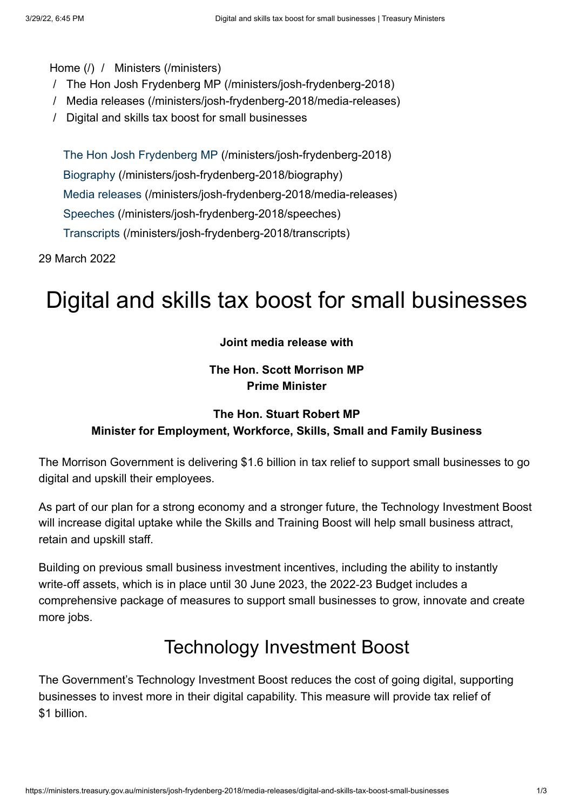#### [Home \(/\)](https://ministers.treasury.gov.au/) / [Ministers \(/ministers\)](https://ministers.treasury.gov.au/ministers)

- / [The Hon Josh Frydenberg MP \(/ministers/josh-frydenberg-2018\)](https://ministers.treasury.gov.au/ministers/josh-frydenberg-2018)
- / [Media releases \(/ministers/josh-frydenberg-2018/media-releases\)](https://ministers.treasury.gov.au/ministers/josh-frydenberg-2018/media-releases)
- / Digital and skills tax boost for small businesses

[The Hon Josh Frydenberg MP \(/ministers/josh-frydenberg-2018\)](https://ministers.treasury.gov.au/ministers/josh-frydenberg-2018) [Biography \(/ministers/josh-frydenberg-2018/biography\)](https://ministers.treasury.gov.au/ministers/josh-frydenberg-2018/biography) [Media releases \(/ministers/josh-frydenberg-2018/media-releases\)](https://ministers.treasury.gov.au/ministers/josh-frydenberg-2018/media-releases) [Speeches \(/ministers/josh-frydenberg-2018/speeches\)](https://ministers.treasury.gov.au/ministers/josh-frydenberg-2018/speeches) [Transcripts \(/ministers/josh-frydenberg-2018/transcripts\)](https://ministers.treasury.gov.au/ministers/josh-frydenberg-2018/transcripts)

29 March 2022

# Digital and skills tax boost for small businesses

#### **Joint media release with**

### **The Hon. Scott Morrison MP Prime Minister**

### **The Hon. Stuart Robert MP Minister for Employment, Workforce, Skills, Small and Family Business**

The Morrison Government is delivering \$1.6 billion in tax relief to support small businesses to go digital and upskill their employees.

As part of our plan for a strong economy and a stronger future, the Technology Investment Boost will increase digital uptake while the Skills and Training Boost will help small business attract, retain and upskill staff.

Building on previous small business investment incentives, including the ability to instantly write-off assets, which is in place until 30 June 2023, the 2022-23 Budget includes a comprehensive package of measures to support small businesses to grow, innovate and create more jobs.

### Technology Investment Boost

The Government's Technology Investment Boost reduces the cost of going digital, supporting businesses to invest more in their digital capability. This measure will provide tax relief of \$1 billion.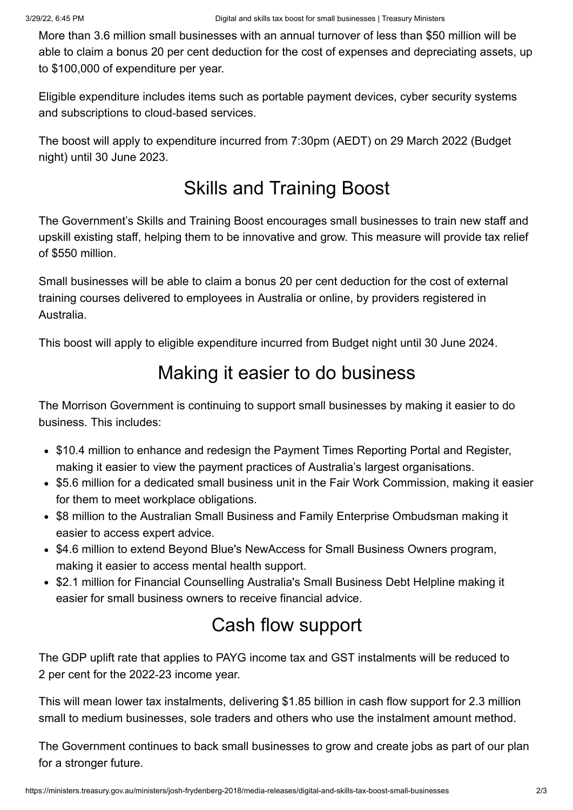More than 3.6 million small businesses with an annual turnover of less than \$50 million will be able to claim a bonus 20 per cent deduction for the cost of expenses and depreciating assets, up to \$100,000 of expenditure per year.

Eligible expenditure includes items such as portable payment devices, cyber security systems and subscriptions to cloud‑based services.

The boost will apply to expenditure incurred from 7:30pm (AEDT) on 29 March 2022 (Budget night) until 30 June 2023.

## Skills and Training Boost

The Government's Skills and Training Boost encourages small businesses to train new staff and upskill existing staff, helping them to be innovative and grow. This measure will provide tax relief of \$550 million.

Small businesses will be able to claim a bonus 20 per cent deduction for the cost of external training courses delivered to employees in Australia or online, by providers registered in Australia.

This boost will apply to eligible expenditure incurred from Budget night until 30 June 2024.

## Making it easier to do business

The Morrison Government is continuing to support small businesses by making it easier to do business. This includes:

- \$10.4 million to enhance and redesign the Payment Times Reporting Portal and Register, making it easier to view the payment practices of Australia's largest organisations.
- \$5.6 million for a dedicated small business unit in the Fair Work Commission, making it easier for them to meet workplace obligations.
- \$8 million to the Australian Small Business and Family Enterprise Ombudsman making it easier to access expert advice.
- \$4.6 million to extend Beyond Blue's NewAccess for Small Business Owners program, making it easier to access mental health support.
- \$2.1 million for Financial Counselling Australia's Small Business Debt Helpline making it easier for small business owners to receive financial advice.

## Cash flow support

The GDP uplift rate that applies to PAYG income tax and GST instalments will be reduced to 2 per cent for the 2022‑23 income year.

This will mean lower tax instalments, delivering \$1.85 billion in cash flow support for 2.3 million small to medium businesses, sole traders and others who use the instalment amount method.

The Government continues to back small businesses to grow and create jobs as part of our plan for a stronger future.